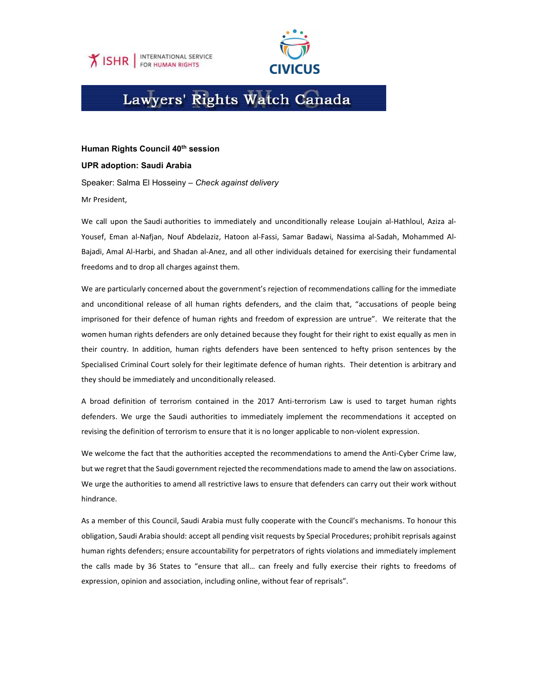



## Lawyers' Rights Watch Canada

## Human Rights Council 40<sup>th</sup> session

## UPR adoption: Saudi Arabia

Speaker: Salma El Hosseiny – Check against delivery Mr President,

We call upon the Saudi authorities to immediately and unconditionally release Loujain al-Hathloul, Aziza al-Yousef, Eman al-Nafjan, Nouf Abdelaziz, Hatoon al-Fassi, Samar Badawi, Nassima al-Sadah, Mohammed Al-Bajadi, Amal Al-Harbi, and Shadan al-Anez, and all other individuals detained for exercising their fundamental freedoms and to drop all charges against them.

We are particularly concerned about the government's rejection of recommendations calling for the immediate and unconditional release of all human rights defenders, and the claim that, "accusations of people being imprisoned for their defence of human rights and freedom of expression are untrue". We reiterate that the women human rights defenders are only detained because they fought for their right to exist equally as men in their country. In addition, human rights defenders have been sentenced to hefty prison sentences by the Specialised Criminal Court solely for their legitimate defence of human rights. Their detention is arbitrary and they should be immediately and unconditionally released.

A broad definition of terrorism contained in the 2017 Anti-terrorism Law is used to target human rights defenders. We urge the Saudi authorities to immediately implement the recommendations it accepted on revising the definition of terrorism to ensure that it is no longer applicable to non-violent expression.

We welcome the fact that the authorities accepted the recommendations to amend the Anti-Cyber Crime law, but we regret that the Saudi government rejected the recommendations made to amend the law on associations. We urge the authorities to amend all restrictive laws to ensure that defenders can carry out their work without hindrance.

As a member of this Council, Saudi Arabia must fully cooperate with the Council's mechanisms. To honour this obligation, Saudi Arabia should: accept all pending visit requests by Special Procedures; prohibit reprisals against human rights defenders; ensure accountability for perpetrators of rights violations and immediately implement the calls made by 36 States to "ensure that all… can freely and fully exercise their rights to freedoms of expression, opinion and association, including online, without fear of reprisals".